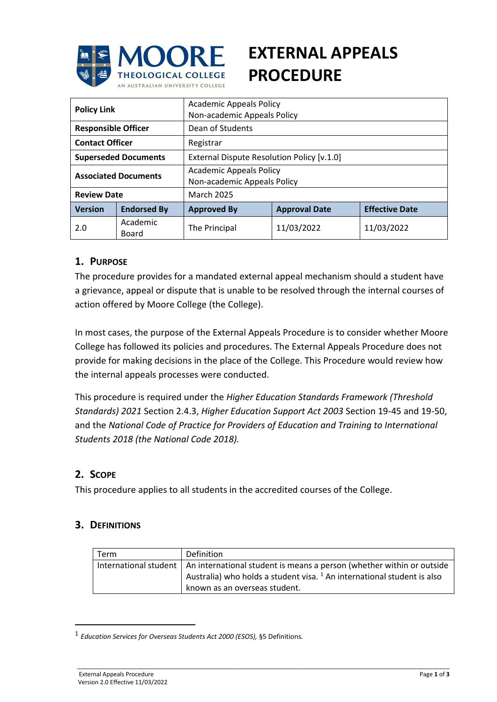

# **EXTERNAL APPEALS PROCEDURE**

| <b>Policy Link</b>          |                    | <b>Academic Appeals Policy</b><br>Non-academic Appeals Policy |                      |                       |  |  |
|-----------------------------|--------------------|---------------------------------------------------------------|----------------------|-----------------------|--|--|
| <b>Responsible Officer</b>  |                    | Dean of Students                                              |                      |                       |  |  |
| <b>Contact Officer</b>      |                    | Registrar                                                     |                      |                       |  |  |
| <b>Superseded Documents</b> |                    | External Dispute Resolution Policy [v.1.0]                    |                      |                       |  |  |
| <b>Associated Documents</b> |                    | <b>Academic Appeals Policy</b><br>Non-academic Appeals Policy |                      |                       |  |  |
| <b>Review Date</b>          |                    | <b>March 2025</b>                                             |                      |                       |  |  |
| <b>Version</b>              | <b>Endorsed By</b> | <b>Approved By</b>                                            | <b>Approval Date</b> | <b>Effective Date</b> |  |  |
| 2.0                         | Academic<br>Board  | The Principal                                                 | 11/03/2022           | 11/03/2022            |  |  |

## **1. PURPOSE**

The procedure provides for a mandated external appeal mechanism should a student have a grievance, appeal or dispute that is unable to be resolved through the internal courses of action offered by Moore College (the College).

In most cases, the purpose of the External Appeals Procedure is to consider whether Moore College has followed its policies and procedures. The External Appeals Procedure does not provide for making decisions in the place of the College. This Procedure would review how the internal appeals processes were conducted.

This procedure is required under the *Higher Education Standards Framework (Threshold Standards) 2021* Section 2.4.3, *Higher Education Support Act 2003* Section 19-45 and 19-50, and the *National Code of Practice for Providers of Education and Training to International Students 2018 (the National Code 2018).* 

## **2. SCOPE**

 $\overline{a}$ 

This procedure applies to all students in the accredited courses of the College.

## **3. DEFINITIONS**

| <b>Term</b> | Definition                                                                                                                                                                          |  |
|-------------|-------------------------------------------------------------------------------------------------------------------------------------------------------------------------------------|--|
|             | International student   An international student is means a person (whether within or outside<br>Australia) who holds a student visa. <sup>1</sup> An international student is also |  |
|             | known as an overseas student.                                                                                                                                                       |  |

\_\_\_\_\_\_\_\_\_\_\_\_\_\_\_\_\_\_\_\_\_\_\_\_\_\_\_\_\_\_\_\_\_\_\_\_\_\_\_\_\_\_\_\_\_\_\_\_\_\_\_\_\_\_\_\_\_\_\_\_\_\_\_\_\_\_\_\_\_\_\_\_\_\_\_\_\_\_\_\_\_\_\_\_\_\_\_\_\_\_\_\_\_\_\_\_\_\_\_\_\_\_\_\_\_\_\_\_\_\_\_\_

<sup>1</sup> *Education Services for Overseas Students Act 2000 (ESOS),* §5 Definitions.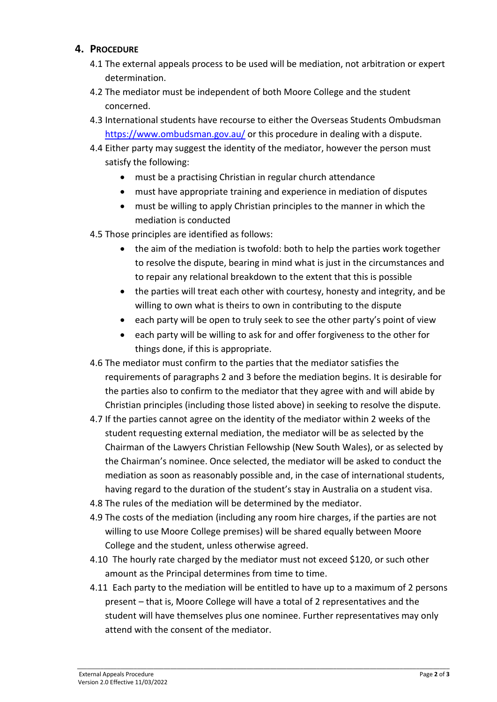## **4. PROCEDURE**

- 4.1 The external appeals process to be used will be mediation, not arbitration or expert determination.
- 4.2 The mediator must be independent of both Moore College and the student concerned.
- 4.3 International students have recourse to either the Overseas Students Ombudsman <https://www.ombudsman.gov.au/> or this procedure in dealing with a dispute.
- 4.4 Either party may suggest the identity of the mediator, however the person must satisfy the following:
	- must be a practising Christian in regular church attendance
	- must have appropriate training and experience in mediation of disputes
	- must be willing to apply Christian principles to the manner in which the mediation is conducted
- 4.5 Those principles are identified as follows:
	- the aim of the mediation is twofold: both to help the parties work together to resolve the dispute, bearing in mind what is just in the circumstances and to repair any relational breakdown to the extent that this is possible
	- the parties will treat each other with courtesy, honesty and integrity, and be willing to own what is theirs to own in contributing to the dispute
	- each party will be open to truly seek to see the other party's point of view
	- each party will be willing to ask for and offer forgiveness to the other for things done, if this is appropriate.
- 4.6 The mediator must confirm to the parties that the mediator satisfies the requirements of paragraphs 2 and 3 before the mediation begins. It is desirable for the parties also to confirm to the mediator that they agree with and will abide by Christian principles (including those listed above) in seeking to resolve the dispute.
- 4.7 If the parties cannot agree on the identity of the mediator within 2 weeks of the student requesting external mediation, the mediator will be as selected by the Chairman of the Lawyers Christian Fellowship (New South Wales), or as selected by the Chairman's nominee. Once selected, the mediator will be asked to conduct the mediation as soon as reasonably possible and, in the case of international students, having regard to the duration of the student's stay in Australia on a student visa.
- 4.8 The rules of the mediation will be determined by the mediator.
- 4.9 The costs of the mediation (including any room hire charges, if the parties are not willing to use Moore College premises) will be shared equally between Moore College and the student, unless otherwise agreed.
- 4.10 The hourly rate charged by the mediator must not exceed \$120, or such other amount as the Principal determines from time to time.
- 4.11 Each party to the mediation will be entitled to have up to a maximum of 2 persons present – that is, Moore College will have a total of 2 representatives and the student will have themselves plus one nominee. Further representatives may only attend with the consent of the mediator.